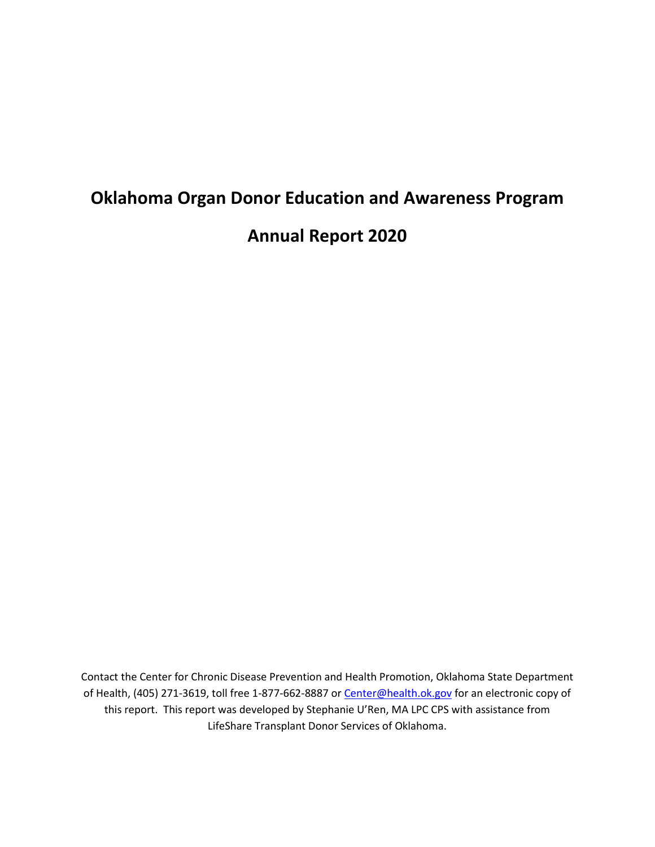# **Oklahoma Organ Donor Education and Awareness Program Annual Report 2020**

Contact the Center for Chronic Disease Prevention and Health Promotion, Oklahoma State Department of Health, (405) 271-3619, toll free 1-877-662-8887 or [Center@health.ok.gov](mailto:Center@health.ok.gov) for an electronic copy of this report. This report was developed by Stephanie U'Ren, MA LPC CPS with assistance from LifeShare Transplant Donor Services of Oklahoma.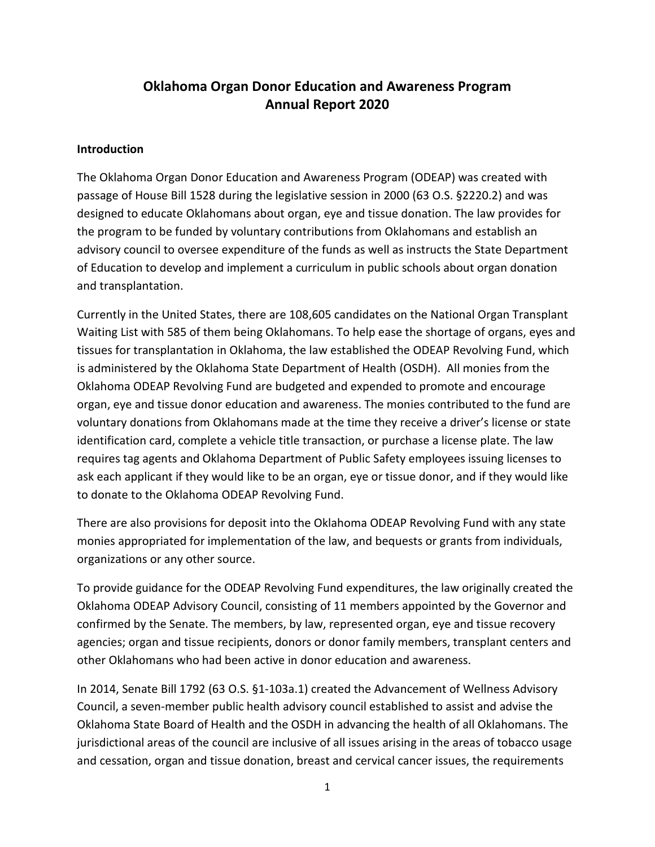# **Oklahoma Organ Donor Education and Awareness Program Annual Report 2020**

#### **Introduction**

The Oklahoma Organ Donor Education and Awareness Program (ODEAP) was created with passage of House Bill 1528 during the legislative session in 2000 (63 O.S. §2220.2) and was designed to educate Oklahomans about organ, eye and tissue donation. The law provides for the program to be funded by voluntary contributions from Oklahomans and establish an advisory council to oversee expenditure of the funds as well as instructs the State Department of Education to develop and implement a curriculum in public schools about organ donation and transplantation.

Currently in the United States, there are 108,605 candidates on the National Organ Transplant Waiting List with 585 of them being Oklahomans. To help ease the shortage of organs, eyes and tissues for transplantation in Oklahoma, the law established the ODEAP Revolving Fund, which is administered by the Oklahoma State Department of Health (OSDH). All monies from the Oklahoma ODEAP Revolving Fund are budgeted and expended to promote and encourage organ, eye and tissue donor education and awareness. The monies contributed to the fund are voluntary donations from Oklahomans made at the time they receive a driver's license or state identification card, complete a vehicle title transaction, or purchase a license plate. The law requires tag agents and Oklahoma Department of Public Safety employees issuing licenses to ask each applicant if they would like to be an organ, eye or tissue donor, and if they would like to donate to the Oklahoma ODEAP Revolving Fund.

There are also provisions for deposit into the Oklahoma ODEAP Revolving Fund with any state monies appropriated for implementation of the law, and bequests or grants from individuals, organizations or any other source.

To provide guidance for the ODEAP Revolving Fund expenditures, the law originally created the Oklahoma ODEAP Advisory Council, consisting of 11 members appointed by the Governor and confirmed by the Senate. The members, by law, represented organ, eye and tissue recovery agencies; organ and tissue recipients, donors or donor family members, transplant centers and other Oklahomans who had been active in donor education and awareness.

In 2014, Senate Bill 1792 (63 O.S. §1-103a.1) created the Advancement of Wellness Advisory Council, a seven-member public health advisory council established to assist and advise the Oklahoma State Board of Health and the OSDH in advancing the health of all Oklahomans. The jurisdictional areas of the council are inclusive of all issues arising in the areas of tobacco usage and cessation, organ and tissue donation, breast and cervical cancer issues, the requirements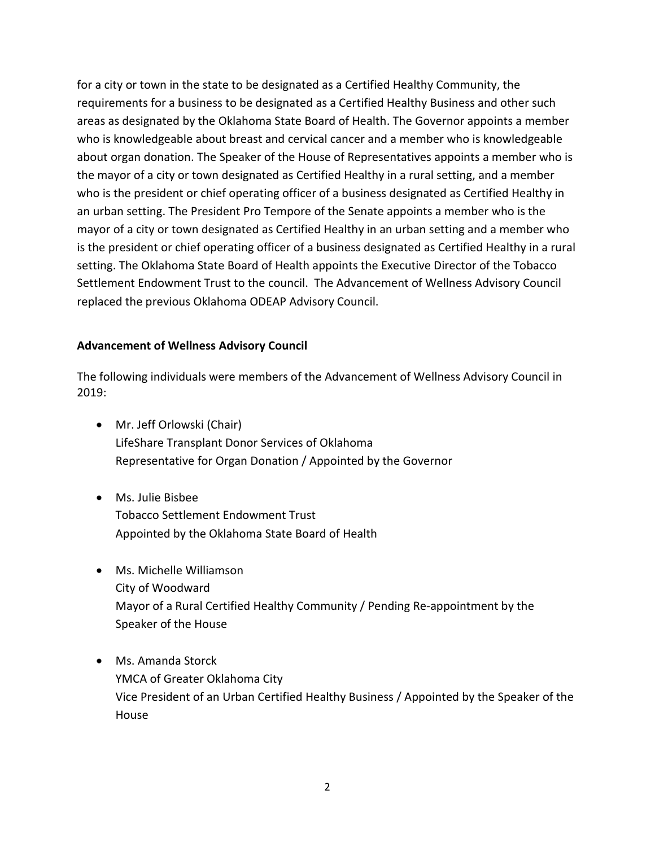for a city or town in the state to be designated as a Certified Healthy Community, the requirements for a business to be designated as a Certified Healthy Business and other such areas as designated by the Oklahoma State Board of Health. The Governor appoints a member who is knowledgeable about breast and cervical cancer and a member who is knowledgeable about organ donation. The Speaker of the House of Representatives appoints a member who is the mayor of a city or town designated as Certified Healthy in a rural setting, and a member who is the president or chief operating officer of a business designated as Certified Healthy in an urban setting. The President Pro Tempore of the Senate appoints a member who is the mayor of a city or town designated as Certified Healthy in an urban setting and a member who is the president or chief operating officer of a business designated as Certified Healthy in a rural setting. The Oklahoma State Board of Health appoints the Executive Director of the Tobacco Settlement Endowment Trust to the council. The Advancement of Wellness Advisory Council replaced the previous Oklahoma ODEAP Advisory Council.

#### **Advancement of Wellness Advisory Council**

The following individuals were members of the Advancement of Wellness Advisory Council in 2019:

- Mr. Jeff Orlowski (Chair) LifeShare Transplant Donor Services of Oklahoma Representative for Organ Donation / Appointed by the Governor
- Ms. Julie Bisbee Tobacco Settlement Endowment Trust Appointed by the Oklahoma State Board of Health
- Ms. Michelle Williamson City of Woodward Mayor of a Rural Certified Healthy Community / Pending Re-appointment by the Speaker of the House
- Ms. Amanda Storck YMCA of Greater Oklahoma City Vice President of an Urban Certified Healthy Business / Appointed by the Speaker of the House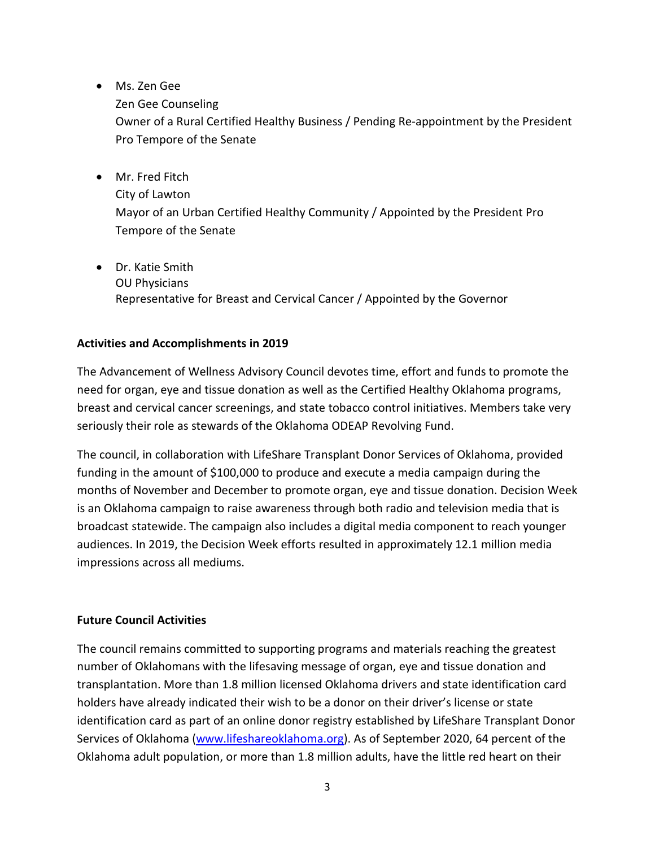- Ms. Zen Gee
	- Zen Gee Counseling

Owner of a Rural Certified Healthy Business / Pending Re-appointment by the President Pro Tempore of the Senate

- Mr. Fred Fitch City of Lawton Mayor of an Urban Certified Healthy Community / Appointed by the President Pro Tempore of the Senate
- Dr. Katie Smith OU Physicians Representative for Breast and Cervical Cancer / Appointed by the Governor

## **Activities and Accomplishments in 2019**

The Advancement of Wellness Advisory Council devotes time, effort and funds to promote the need for organ, eye and tissue donation as well as the Certified Healthy Oklahoma programs, breast and cervical cancer screenings, and state tobacco control initiatives. Members take very seriously their role as stewards of the Oklahoma ODEAP Revolving Fund.

The council, in collaboration with LifeShare Transplant Donor Services of Oklahoma, provided funding in the amount of \$100,000 to produce and execute a media campaign during the months of November and December to promote organ, eye and tissue donation. Decision Week is an Oklahoma campaign to raise awareness through both radio and television media that is broadcast statewide. The campaign also includes a digital media component to reach younger audiences. In 2019, the Decision Week efforts resulted in approximately 12.1 million media impressions across all mediums.

# **Future Council Activities**

The council remains committed to supporting programs and materials reaching the greatest number of Oklahomans with the lifesaving message of organ, eye and tissue donation and transplantation. More than 1.8 million licensed Oklahoma drivers and state identification card holders have already indicated their wish to be a donor on their driver's license or state identification card as part of an online donor registry established by LifeShare Transplant Donor Services of Oklahoma [\(www.lifeshareoklahoma.org\)](http://www.lifeshareoklahoma.org/). As of September 2020, 64 percent of the Oklahoma adult population, or more than 1.8 million adults, have the little red heart on their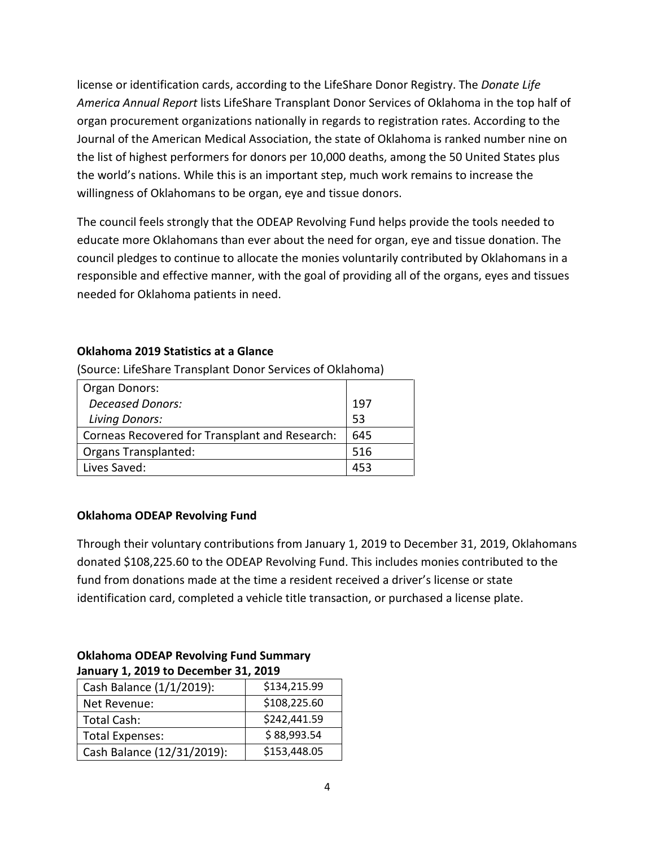license or identification cards, according to the LifeShare Donor Registry. The *Donate Life America Annual Report* lists LifeShare Transplant Donor Services of Oklahoma in the top half of organ procurement organizations nationally in regards to registration rates. According to the Journal of the American Medical Association, the state of Oklahoma is ranked number nine on the list of highest performers for donors per 10,000 deaths, among the 50 United States plus the world's nations. While this is an important step, much work remains to increase the willingness of Oklahomans to be organ, eye and tissue donors.

The council feels strongly that the ODEAP Revolving Fund helps provide the tools needed to educate more Oklahomans than ever about the need for organ, eye and tissue donation. The council pledges to continue to allocate the monies voluntarily contributed by Oklahomans in a responsible and effective manner, with the goal of providing all of the organs, eyes and tissues needed for Oklahoma patients in need.

# **Oklahoma 2019 Statistics at a Glance**

(Source: LifeShare Transplant Donor Services of Oklahoma)

| Organ Donors:                                  |     |
|------------------------------------------------|-----|
| <b>Deceased Donors:</b>                        | 197 |
| <b>Living Donors:</b>                          | .53 |
| Corneas Recovered for Transplant and Research: | 645 |
| <b>Organs Transplanted:</b>                    | 516 |
| Lives Saved:                                   | 453 |

# **Oklahoma ODEAP Revolving Fund**

Through their voluntary contributions from January 1, 2019 to December 31, 2019, Oklahomans donated \$108,225.60 to the ODEAP Revolving Fund. This includes monies contributed to the fund from donations made at the time a resident received a driver's license or state identification card, completed a vehicle title transaction, or purchased a license plate.

| January 1, 2019 to December 31, 2019 |              |
|--------------------------------------|--------------|
| Cash Balance (1/1/2019):             | \$134,215.99 |
| Net Revenue:                         | \$108,225.60 |
| <b>Total Cash:</b>                   | \$242,441.59 |
| <b>Total Expenses:</b>               | \$88,993.54  |
| Cash Balance (12/31/2019):           | \$153,448.05 |

## **Oklahoma ODEAP Revolving Fund Summary January 1, 2019 to December 31, 2019**